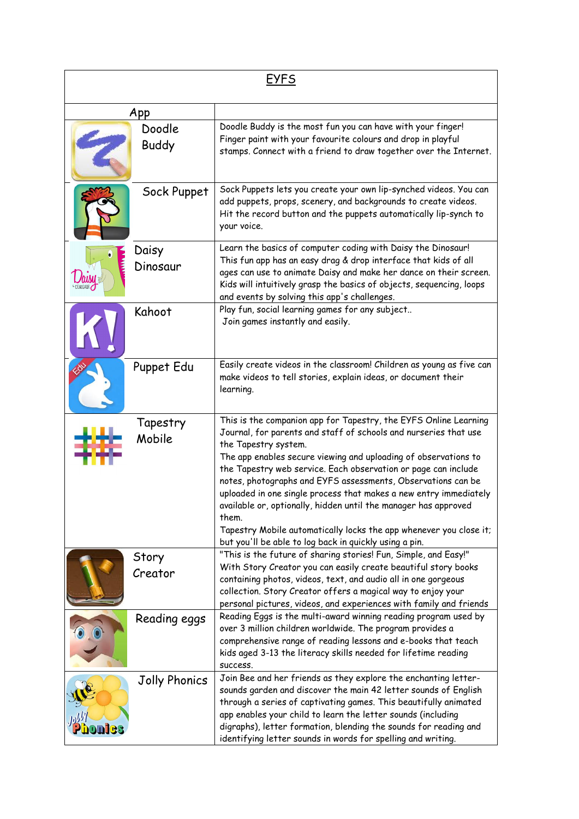| <b>EYFS</b> |                        |                                                                                                                                                                                                                                                                                                                                                                                                                                                                                                                                                                                                                                                    |  |  |
|-------------|------------------------|----------------------------------------------------------------------------------------------------------------------------------------------------------------------------------------------------------------------------------------------------------------------------------------------------------------------------------------------------------------------------------------------------------------------------------------------------------------------------------------------------------------------------------------------------------------------------------------------------------------------------------------------------|--|--|
| App         |                        |                                                                                                                                                                                                                                                                                                                                                                                                                                                                                                                                                                                                                                                    |  |  |
|             | Doodle<br><b>Buddy</b> | Doodle Buddy is the most fun you can have with your finger!<br>Finger paint with your favourite colours and drop in playful<br>stamps. Connect with a friend to draw together over the Internet.                                                                                                                                                                                                                                                                                                                                                                                                                                                   |  |  |
|             | Sock Puppet            | Sock Puppets lets you create your own lip-synched videos. You can<br>add puppets, props, scenery, and backgrounds to create videos.<br>Hit the record button and the puppets automatically lip-synch to<br>your voice.                                                                                                                                                                                                                                                                                                                                                                                                                             |  |  |
|             | Daisy<br>Dinosaur      | Learn the basics of computer coding with Daisy the Dinosaur!<br>This fun app has an easy drag & drop interface that kids of all<br>ages can use to animate Daisy and make her dance on their screen.<br>Kids will intuitively grasp the basics of objects, sequencing, loops<br>and events by solving this app's challenges.                                                                                                                                                                                                                                                                                                                       |  |  |
|             | Kahoot                 | Play fun, social learning games for any subject<br>Join games instantly and easily.                                                                                                                                                                                                                                                                                                                                                                                                                                                                                                                                                                |  |  |
|             | Puppet Edu             | Easily create videos in the classroom! Children as young as five can<br>make videos to tell stories, explain ideas, or document their<br>learning.                                                                                                                                                                                                                                                                                                                                                                                                                                                                                                 |  |  |
|             | Tapestry<br>Mobile     | This is the companion app for Tapestry, the EYFS Online Learning<br>Journal, for parents and staff of schools and nurseries that use<br>the Tapestry system.<br>The app enables secure viewing and uploading of observations to<br>the Tapestry web service. Each observation or page can include<br>notes, photographs and EYFS assessments, Observations can be<br>uploaded in one single process that makes a new entry immediately<br>available or, optionally, hidden until the manager has approved<br>them.<br>Tapestry Mobile automatically locks the app whenever you close it;<br>but you'll be able to log back in quickly using a pin. |  |  |
|             | Story<br>Creator       | "This is the future of sharing stories! Fun, Simple, and Easy!"<br>With Story Creator you can easily create beautiful story books<br>containing photos, videos, text, and audio all in one gorgeous<br>collection. Story Creator offers a magical way to enjoy your<br>personal pictures, videos, and experiences with family and friends                                                                                                                                                                                                                                                                                                          |  |  |
|             | Reading eggs           | Reading Eggs is the multi-award winning reading program used by<br>over 3 million children worldwide. The program provides a<br>comprehensive range of reading lessons and e-books that teach<br>kids aged 3-13 the literacy skills needed for lifetime reading<br>SUCCESS.                                                                                                                                                                                                                                                                                                                                                                        |  |  |
|             | Jolly Phonics          | Join Bee and her friends as they explore the enchanting letter-<br>sounds garden and discover the main 42 letter sounds of English<br>through a series of captivating games. This beautifully animated<br>app enables your child to learn the letter sounds (including<br>digraphs), letter formation, blending the sounds for reading and<br>identifying letter sounds in words for spelling and writing.                                                                                                                                                                                                                                         |  |  |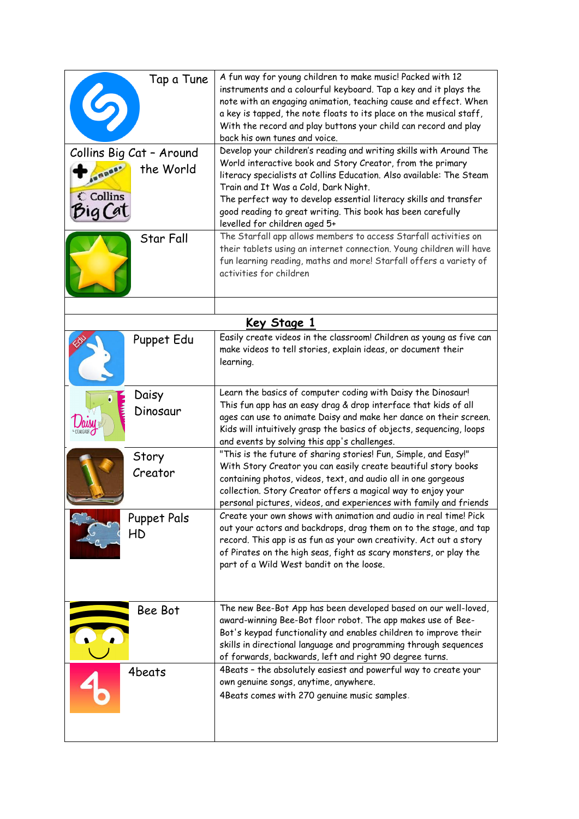| Tap a Tune                 | A fun way for young children to make music! Packed with 12<br>instruments and a colourful keyboard. Tap a key and it plays the<br>note with an engaging animation, teaching cause and effect. When<br>a key is tapped, the note floats to its place on the musical staff,<br>With the record and play buttons your child can record and play<br>back his own tunes and voice. |
|----------------------------|-------------------------------------------------------------------------------------------------------------------------------------------------------------------------------------------------------------------------------------------------------------------------------------------------------------------------------------------------------------------------------|
| Collins Big Cat - Around   | Develop your children's reading and writing skills with Around The                                                                                                                                                                                                                                                                                                            |
| the World<br><b>AURANA</b> | World interactive book and Story Creator, from the primary<br>literacy specialists at Collins Education. Also available: The Steam                                                                                                                                                                                                                                            |
|                            | Train and It Was a Cold, Dark Night.                                                                                                                                                                                                                                                                                                                                          |
| C Collins                  | The perfect way to develop essential literacy skills and transfer                                                                                                                                                                                                                                                                                                             |
| big Cat                    | good reading to great writing. This book has been carefully<br>levelled for children aged 5+                                                                                                                                                                                                                                                                                  |
| Star Fall                  | The Starfall app allows members to access Starfall activities on                                                                                                                                                                                                                                                                                                              |
|                            | their tablets using an internet connection. Young children will have                                                                                                                                                                                                                                                                                                          |
|                            | fun learning reading, maths and more! Starfall offers a variety of<br>activities for children                                                                                                                                                                                                                                                                                 |
|                            |                                                                                                                                                                                                                                                                                                                                                                               |
|                            |                                                                                                                                                                                                                                                                                                                                                                               |
|                            | <u>Key Stage 1</u>                                                                                                                                                                                                                                                                                                                                                            |
| Puppet Edu                 | Easily create videos in the classroom! Children as young as five can                                                                                                                                                                                                                                                                                                          |
|                            | make videos to tell stories, explain ideas, or document their<br>learning.                                                                                                                                                                                                                                                                                                    |
|                            |                                                                                                                                                                                                                                                                                                                                                                               |
| Daisy                      | Learn the basics of computer coding with Daisy the Dinosaur!                                                                                                                                                                                                                                                                                                                  |
| Dinosaur                   | This fun app has an easy drag & drop interface that kids of all<br>ages can use to animate Daisy and make her dance on their screen.                                                                                                                                                                                                                                          |
|                            | Kids will intuitively grasp the basics of objects, sequencing, loops                                                                                                                                                                                                                                                                                                          |
|                            | and events by solving this app's challenges.                                                                                                                                                                                                                                                                                                                                  |
| Story                      | "This is the future of sharing stories! Fun, Simple, and Easy!"<br>With Story Creator you can easily create beautiful story books                                                                                                                                                                                                                                             |
| Creator                    | containing photos, videos, text, and audio all in one gorgeous                                                                                                                                                                                                                                                                                                                |
|                            | collection. Story Creator offers a magical way to enjoy your                                                                                                                                                                                                                                                                                                                  |
|                            | personal pictures, videos, and experiences with family and friends                                                                                                                                                                                                                                                                                                            |
| Puppet Pals                | Create your own shows with animation and audio in real time! Pick<br>out your actors and backdrops, drag them on to the stage, and tap                                                                                                                                                                                                                                        |
| HD                         | record. This app is as fun as your own creativity. Act out a story                                                                                                                                                                                                                                                                                                            |
|                            | of Pirates on the high seas, fight as scary monsters, or play the                                                                                                                                                                                                                                                                                                             |
|                            | part of a Wild West bandit on the loose.                                                                                                                                                                                                                                                                                                                                      |
|                            |                                                                                                                                                                                                                                                                                                                                                                               |
| Bee Bot                    | The new Bee-Bot App has been developed based on our well-loved,                                                                                                                                                                                                                                                                                                               |
|                            | award-winning Bee-Bot floor robot. The app makes use of Bee-<br>Bot's keypad functionality and enables children to improve their                                                                                                                                                                                                                                              |
|                            | skills in directional language and programming through sequences                                                                                                                                                                                                                                                                                                              |
|                            | of forwards, backwards, left and right 90 degree turns.                                                                                                                                                                                                                                                                                                                       |
| 4beats                     | 4Beats - the absolutely easiest and powerful way to create your                                                                                                                                                                                                                                                                                                               |
|                            | own genuine songs, anytime, anywhere.<br>4Beats comes with 270 genuine music samples.                                                                                                                                                                                                                                                                                         |
|                            |                                                                                                                                                                                                                                                                                                                                                                               |
|                            |                                                                                                                                                                                                                                                                                                                                                                               |
|                            |                                                                                                                                                                                                                                                                                                                                                                               |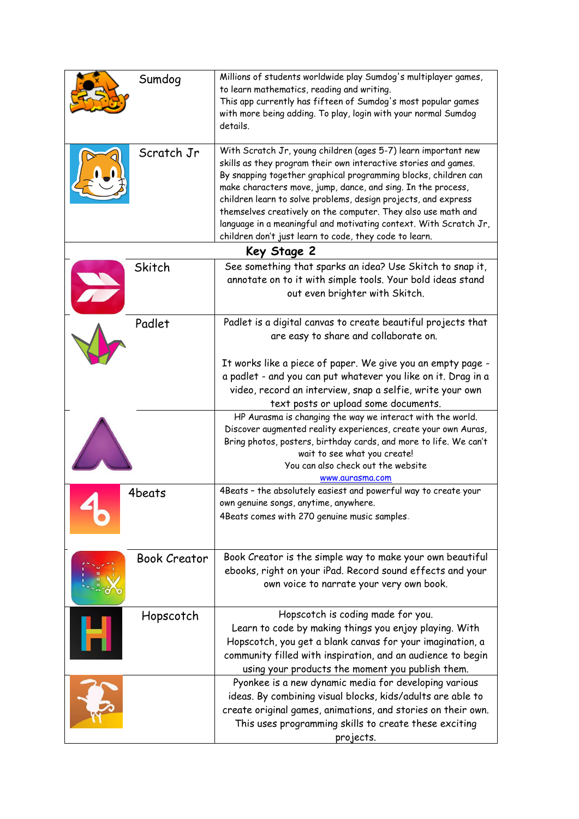|             | Sumdog              | Millions of students worldwide play Sumdog's multiplayer games,<br>to learn mathematics, reading and writing.<br>This app currently has fifteen of Sumdog's most popular games<br>with more being adding. To play, login with your normal Sumdog<br>details.                                                                                                                                                                                                                                                                           |  |  |  |
|-------------|---------------------|----------------------------------------------------------------------------------------------------------------------------------------------------------------------------------------------------------------------------------------------------------------------------------------------------------------------------------------------------------------------------------------------------------------------------------------------------------------------------------------------------------------------------------------|--|--|--|
|             | Scratch Jr          | With Scratch Jr, young children (ages 5-7) learn important new<br>skills as they program their own interactive stories and games.<br>By snapping together graphical programming blocks, children can<br>make characters move, jump, dance, and sing. In the process,<br>children learn to solve problems, design projects, and express<br>themselves creatively on the computer. They also use math and<br>language in a meaningful and motivating context. With Scratch Jr,<br>children don't just learn to code, they code to learn. |  |  |  |
| Key Stage 2 |                     |                                                                                                                                                                                                                                                                                                                                                                                                                                                                                                                                        |  |  |  |
|             | Skitch              | See something that sparks an idea? Use Skitch to snap it,<br>annotate on to it with simple tools. Your bold ideas stand<br>out even brighter with Skitch.                                                                                                                                                                                                                                                                                                                                                                              |  |  |  |
|             | Padlet              | Padlet is a digital canvas to create beautiful projects that<br>are easy to share and collaborate on.                                                                                                                                                                                                                                                                                                                                                                                                                                  |  |  |  |
|             |                     | It works like a piece of paper. We give you an empty page -<br>a padlet - and you can put whatever you like on it. Drag in a<br>video, record an interview, snap a selfie, write your own<br>text posts or upload some documents.                                                                                                                                                                                                                                                                                                      |  |  |  |
|             |                     | HP Aurasma is changing the way we interact with the world.<br>Discover augmented reality experiences, create your own Auras,<br>Bring photos, posters, birthday cards, and more to life. We can't<br>wait to see what you create!<br>You can also check out the website<br>www.aurasma.com                                                                                                                                                                                                                                             |  |  |  |
|             | 4beats              | 4Beats - the absolutely easiest and powerful way to create your<br>own genuine songs, anytime, anywhere.<br>4Beats comes with 270 genuine music samples.                                                                                                                                                                                                                                                                                                                                                                               |  |  |  |
|             | <b>Book Creator</b> | Book Creator is the simple way to make your own beautiful<br>ebooks, right on your iPad. Record sound effects and your<br>own voice to narrate your very own book.                                                                                                                                                                                                                                                                                                                                                                     |  |  |  |
|             | Hopscotch           | Hopscotch is coding made for you.<br>Learn to code by making things you enjoy playing. With<br>Hopscotch, you get a blank canvas for your imagination, a<br>community filled with inspiration, and an audience to begin<br>using your products the moment you publish them.                                                                                                                                                                                                                                                            |  |  |  |
|             |                     | Pyonkee is a new dynamic media for developing various<br>ideas. By combining visual blocks, kids/adults are able to<br>create original games, animations, and stories on their own.<br>This uses programming skills to create these exciting<br>projects.                                                                                                                                                                                                                                                                              |  |  |  |